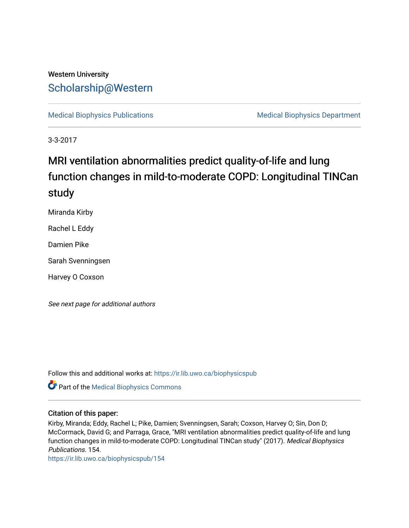# Western University [Scholarship@Western](https://ir.lib.uwo.ca/)

[Medical Biophysics Publications](https://ir.lib.uwo.ca/biophysicspub) Medical Biophysics Department

3-3-2017

# MRI ventilation abnormalities predict quality-of-life and lung function changes in mild-to-moderate COPD: Longitudinal TINCan study

Miranda Kirby

Rachel L Eddy

Damien Pike

Sarah Svenningsen

Harvey O Coxson

See next page for additional authors

Follow this and additional works at: [https://ir.lib.uwo.ca/biophysicspub](https://ir.lib.uwo.ca/biophysicspub?utm_source=ir.lib.uwo.ca%2Fbiophysicspub%2F154&utm_medium=PDF&utm_campaign=PDFCoverPages) 

**Part of the Medical Biophysics Commons** 

#### Citation of this paper:

Kirby, Miranda; Eddy, Rachel L; Pike, Damien; Svenningsen, Sarah; Coxson, Harvey O; Sin, Don D; McCormack, David G; and Parraga, Grace, "MRI ventilation abnormalities predict quality-of-life and lung function changes in mild-to-moderate COPD: Longitudinal TINCan study" (2017). Medical Biophysics Publications. 154.

[https://ir.lib.uwo.ca/biophysicspub/154](https://ir.lib.uwo.ca/biophysicspub/154?utm_source=ir.lib.uwo.ca%2Fbiophysicspub%2F154&utm_medium=PDF&utm_campaign=PDFCoverPages)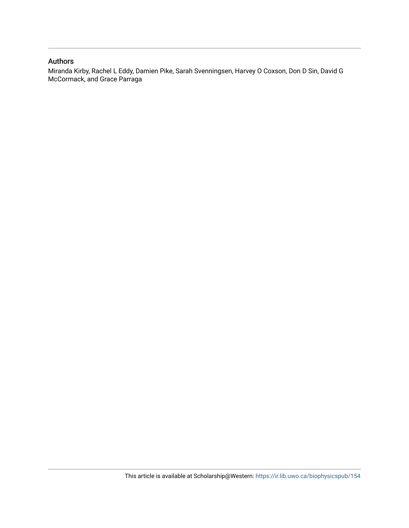## Authors

Miranda Kirby, Rachel L Eddy, Damien Pike, Sarah Svenningsen, Harvey O Coxson, Don D Sin, David G McCormack, and Grace Parraga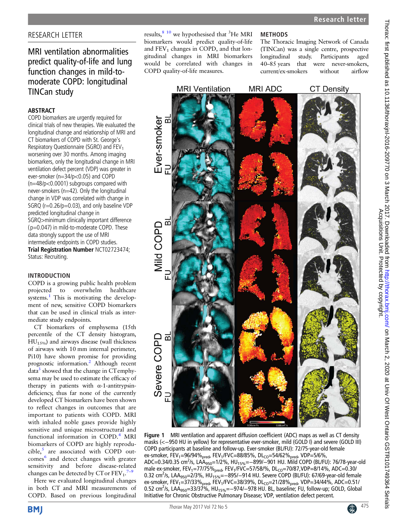# <span id="page-2-0"></span>RESEARCH LETTER

# MRI ventilation abnormalities predict quality-of-life and lung function changes in mild-tomoderate COPD: longitudinal TINCan study

### ABSTRACT

COPD biomarkers are urgently required for clinical trials of new therapies. We evaluated the longitudinal change and relationship of MRI and CT biomarkers of COPD with St. George's Respiratory Questionnaire (SGRO) and FEV<sub>1</sub> worsening over 30 months. Among imaging biomarkers, only the longitudinal change in MRI ventilation defect percent (VDP) was greater in ever-smoker (n=34/p<0.05) and COPD (n=48/p<0.0001) subgroups compared with never-smokers (n=42). Only the longitudinal change in VDP was correlated with change in SGRQ (r=0.26/p=0.03), and only baseline VDP predicted longitudinal change in SGRQ>minimum clinically important difference (p=0.047) in mild-to-moderate COPD. These data strongly support the use of MRI intermediate endpoints in COPD studies. Trial Registration Number NCT02723474; Status: Recruiting.

#### INTRODUCTION

COPD is a growing public health problem projected to overwhelm healthcare systems. $<sup>1</sup>$  $<sup>1</sup>$  $<sup>1</sup>$  This is motivating the develop-</sup> ment of new, sensitive COPD biomarkers that can be used in clinical trials as intermediate study endpoints.

CT biomarkers of emphysema (15th percentile of the CT density histogram,  $HU<sub>15%</sub>$ ) and airways disease (wall thickness of airways with 10 mm internal perimeter, Pi10) have shown promise for providing prognostic information.[2](#page-4-0) Although recent  $data<sup>3</sup>$  $data<sup>3</sup>$  $data<sup>3</sup>$  showed that the change in CT emphysema may be used to estimate the efficacy of therapy in patients with α-1-antitrypsindeficiency, thus far none of the currently developed CT biomarkers have been shown to reflect changes in outcomes that are important to patients with COPD. MRI with inhaled noble gases provide highly sensitive and unique microstructural and functional information in COPD.<sup>[4](#page-4-0)</sup> MRI biomarkers of COPD are highly reprodu- $cible<sub>5</sub>$  $cible<sub>5</sub>$  $cible<sub>5</sub>$  are associated with COPD out-comes<sup>[6](#page-4-0)</sup> and detect changes with greater sensitivity and before disease-related changes can be detected by CT or  $FEV_1$ .<sup>[7](#page-4-0)-9</sup>

Here we evaluated longitudinal changes in both CT and MRI measurements of COPD. Based on previous longitudinal

results, $810$  we hypothesised that <sup>3</sup>He MRI biomarkers would predict quality-of-life and  $FEV<sub>1</sub>$  changes in COPD, and that longitudinal changes in MRI biomarkers would be correlated with changes in COPD quality-of-life measures.

#### **METHODS**

The Thoracic Imaging Network of Canada (TINCan) was a single centre, prospective longitudinal study. Participants aged 40–85 years that were never-smokers, current/ex-smokers without airflow



Figure 1 MRI ventilation and apparent diffusion coefficient (ADC) maps as well as CT density masks (<-950 HU in yellow) for representative ever-smoker, mild (GOLD I) and severe (GOLD III) COPD participants at baseline and follow-up. Ever-smoker (BL/FU): 72/75-year-old female ex-smoker, FEV<sub>1</sub>=96/94%<sub>pred</sub>, FEV<sub>1</sub>/FVC=88/85%, DL<sub>CO</sub>=54/62%<sub>pred</sub>, VDP=5/6%, ADC=0.34/0.35 cm<sup>2</sup>/s, LAA<sub>950</sub>=1/2%, HU<sub>15%</sub>=−899/−901 HU. Mild COPD (BL/FU): 76/78-year-old male ex-smoker,  $FEV_1 = 77/75\%_{pred}$ ,  $FEV_1 / FVC = 57/58\%$ ,  $DL_{CO} = 70/87$ , VDP=8/14%, ADC=0.30/ 0.32 cm<sup>2</sup>/s, LAA<sub>950</sub>=2/3%, HU<sub>15%</sub>=-895/-914 HU. Severe COPD (BL/FU): 67/69-year-old female ex-smoker, FEV<sub>1</sub>=37/33%<sub>pred</sub>, FEV<sub>1</sub>/FVC=38/39%, DL<sub>CO</sub>=21/28%<sub>pred</sub>, VDP=34/44%, ADC=0.51/<br>0.52 cm<sup>2</sup>/s, LAA<sub>950</sub>=33/37%, HU<sub>15%</sub>=—974/—978 HU. BL, baseline; FU, follow-up; GOLD, Global Initiative for Chronic Obstructive Pulmonary Disease; VDP, ventilation defect percent.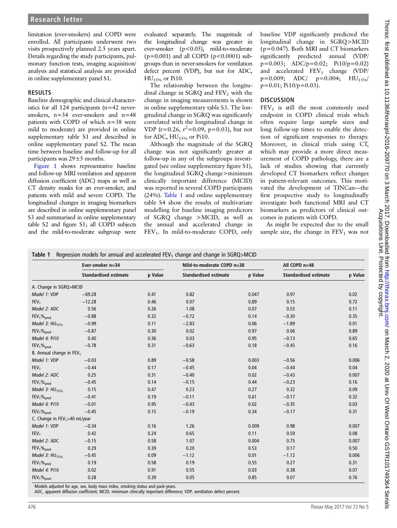limitation (ever-smokers) and COPD were enrolled. All participants underwent two visits prospectively planned 2.5 years apart. Details regarding the study participants, pulmonary function tests, imaging acquisition/ analysis and statistical analysis are provided in online [supplementary panel S1.](http://dx.doi.org/10.1136/thoraxjnl-2016-209770)

#### RESULTS

Baseline demographic and clinical characteristics for all 124 participants (n=42 neversmokers,  $n=34$  ever-smokers and  $n=48$ patients with COPD of which n=38 were mild to moderate) are provided in online [supplementary table S1](http://dx.doi.org/10.1136/thoraxjnl-2016-209770) and described in online [supplementary](http://dx.doi.org/10.1136/thoraxjnl-2016-209770) panel S2. The mean time between baseline and follow-up for all participants was  $29 \pm 5$  months.

[Figure 1](#page-2-0) shows representative baseline and follow-up MRI ventilation and apparent diffusion coefficient (ADC) maps as well as CT density masks for an ever-smoker, and patients with mild and severe COPD. The longitudinal changes in imaging biomarkers are described in online [supplementary](http://dx.doi.org/10.1136/thoraxjnl-2016-209770) panel S3 and summarised in online [supplementary](http://dx.doi.org/10.1136/thoraxjnl-2016-209770) [table S2 and](http://dx.doi.org/10.1136/thoraxjnl-2016-209770) figure S1; all COPD subjects and the mild-to-moderate subgroup were

evaluated separately. The magnitude of the longitudinal change was greater in ever-smoker (p<0.05), mild-to-moderate  $(p=0.001)$  and all COPD  $(p<0.0001)$  subgroups than in never-smokers for ventilation defect percent (VDP), but not for ADC, HU15% or Pi10.

The relationship between the longitudinal change in  $SGRQ$  and  $FEV<sub>1</sub>$  with the change in imaging measurements is shown in online [supplementary table S3](http://dx.doi.org/10.1136/thoraxjnl-2016-209770). The longitudinal change in SGRQ was significantly correlated with the longitudinal change in VDP (r=0.26, r<sup>2</sup>=0.09, p=0.03), but not for ADC,  $HU_{15\%}$  or Pi10.

Although the magnitude of the SGRQ change was not significantly greater at follow-up in any of the subgroups investigated (see online [supplementary](http://dx.doi.org/10.1136/thoraxjnl-2016-209770) fi[gure S1](http://dx.doi.org/10.1136/thoraxjnl-2016-209770)), the longitudinal SGRQ change>minimum clinically important difference (MCID) was reported in several COPD participants (24%). Table 1 and online [supplementary](http://dx.doi.org/10.1136/thoraxjnl-2016-209770) [table S4](http://dx.doi.org/10.1136/thoraxjnl-2016-209770) show the results of multivariate modelling for baseline imaging predictors of SGRQ change >MCID, as well as the annual and accelerated change in FEV<sub>1</sub>. In mild-to-moderate COPD, only

baseline VDP significantly predicted the longitudinal change in SGRQ>MCID (p=0.047). Both MRI and CT biomarkers significantly predicted annual (VDP/ p=0.003; ADC/p=0.02; Pi10/p=0.02) and accelerated  $FEV_1$  change (VDP/  $p=0.009$ ; ADC/  $p=0.004$ ; HU<sub>15%</sub> p=0.01; Pi10/p=0.03).

#### **DISCUSSION**

 $FEV<sub>1</sub>$  is still the most commonly used endpoint in COPD clinical trials which often require large sample sizes and long follow-up times to enable the detection of significant responses to therapy. Moreover, in clinical trials using CT, which may provide a more direct measurement of COPD pathology, there are a lack of studies showing that currently developed CT biomarkers reflect changes in patient-relevant outcomes. This motivated the development of TINCan—the first prospective study to longitudinally investigate both functional MRI and CT biomarkers as predictors of clinical outcomes in patients with COPD.

As might be expected due to the small sample size, the change in  $FEV<sub>1</sub>$  was not

|  |  |  | Table 1 Regression models for annual and accelerated FEV <sub>1</sub> change and change in SGRQ>MCID |
|--|--|--|------------------------------------------------------------------------------------------------------|
|--|--|--|------------------------------------------------------------------------------------------------------|

|                                      | Ever-smoker n=34             |         | Mild-to-moderate COPD n=38   |         | All COPD n=48                |         |
|--------------------------------------|------------------------------|---------|------------------------------|---------|------------------------------|---------|
|                                      | <b>Standardised estimate</b> | p Value | <b>Standardised estimate</b> | p Value | <b>Standardised estimate</b> | p Value |
| A. Change in SGRQ>MCID               |                              |         |                              |         |                              |         |
| Model 1: VDP                         | $-69.28$                     | 0.41    | 0.82                         | 0.047   | 0.97                         | 0.02    |
| FEV <sub>1</sub>                     | $-12.28$                     | 0.46    | 0.07                         | 0.89    | 0.15                         | 0.72    |
| Model 2: ADC                         | 0.56                         | 0.26    | 1.08                         | 0.07    | 0.53                         | 0.11    |
| $FEV1$ % <sub>pred</sub>             | $-0.88$                      | 0.32    | $-0.72$                      | 0.14    | $-0.30$                      | 0.35    |
| Model 3: $HU_{15\%}$                 | $-0.99$                      | 0.11    | $-2.83$                      | 0.06    | $-1.89$                      | 0.01    |
| $FEV1$ <sub>%pred</sub>              | $-0.87$                      | 0.30    | 0.02                         | 0.97    | 0.06                         | 0.89    |
| Model 4: Pi10                        | 0.40                         | 0.36    | 0.03                         | 0.95    | $-0.13$                      | 0.65    |
| $FEV1$ % <sub>pred</sub>             | $-0.78$                      | 0.31    | $-0.63$                      | 0.18    | $-0.45$                      | 0.16    |
| B. Annual change in FEV <sub>1</sub> |                              |         |                              |         |                              |         |
| Model 1: VDP                         | $-0.03$                      | 0.89    | $-0.58$                      | 0.003   | $-0.56$                      | 0.006   |
| FEV <sub>1</sub>                     | $-0.44$                      | 0.17    | $-0.45$                      | 0.04    | $-0.44$                      | 0.04    |
| Model 2: ADC                         | 0.25                         | 0.31    | $-0.40$                      | 0.02    | $-0.43$                      | 0.007   |
| $FEV1$ % <sub>pred</sub>             | $-0.45$                      | 0.14    | $-0.15$                      | 0.44    | $-0.23$                      | 0.16    |
| Model 3: $HU_{15\%}$                 | 0.15                         | 0.47    | 0.23                         | 0.27    | 0.32                         | 0.09    |
| $FEV1$ % <sub>pred</sub>             | $-0.41$                      | 0.19    | $-0.11$                      | 0.61    | $-0.17$                      | 0.32    |
| Model 4: Pi10                        | $-0.01$                      | 0.95    | $-0.43$                      | 0.02    | $-0.35$                      | 0.03    |
| FEV <sub>1</sub> % <sub>pred</sub>   | $-0.45$                      | 0.15    | $-0.19$                      | 0.34    | $-0.17$                      | 0.31    |
| C. Change in $FEV_1 > 40$ mL/year    |                              |         |                              |         |                              |         |
| Model 1: VDP                         | $-0.34$                      | 0.16    | 1.26                         | 0.009   | 0.98                         | 0.007   |
| FEV <sub>1</sub>                     | 0.42                         | 0.24    | 0.65                         | 0.11    | 0.59                         | 0.08    |
| Model 2: ADC                         | $-0.15$                      | 0.58    | 1.07                         | 0.004   | 0.75                         | 0.007   |
| $FEV1$ % <sub>pred</sub>             | 0.29                         | 0.39    | 0.20                         | 0.53    | 0.17                         | 0.50    |
| Model 3: $HU_{15\%}$                 | $-0.45$                      | 0.09    | $-1.12$                      | 0.01    | $-1.12$                      | 0.006   |
| $FEV1$ % <sub>pred</sub>             | 0.19                         | 0.58    | 0.19                         | 0.55    | 0.27                         | 0.31    |
| Model 4: Pi10                        | 0.02                         | 0.91    | 0.55                         | 0.03    | 0.38                         | 0.07    |
| $FEV1$ % <sub>pred</sub>             | 0.28                         | 0.39    | 0.05                         | 0.85    | 0.07                         | 0.76    |

Models adjusted for age, sex, body mass index, smoking status and pack-years.

ADC, apparent diffusion coefficient; MCID, minimum clinically important difference; VDP, ventilation defect percent.